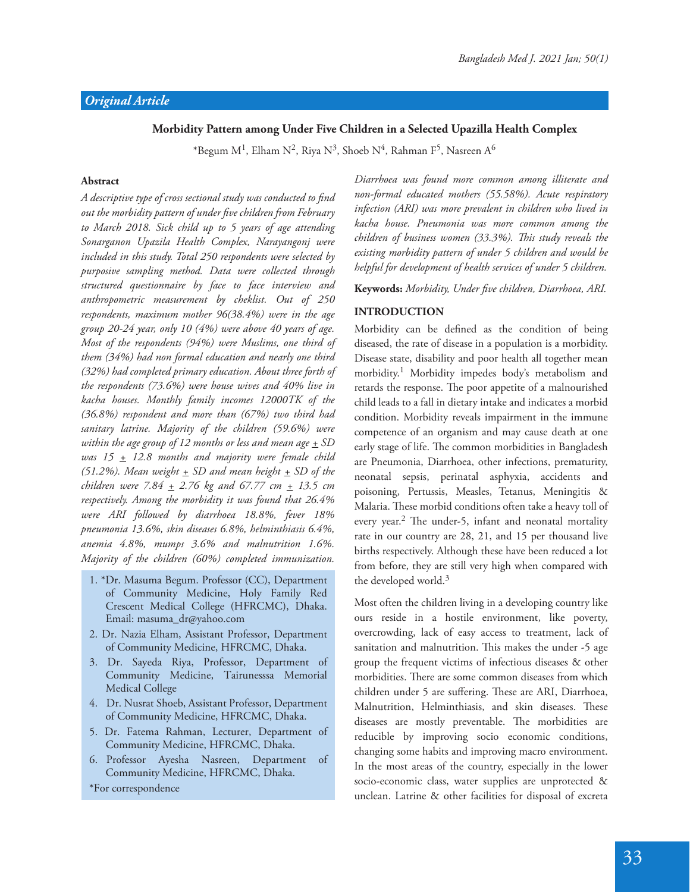### **Morbidity Pattern among Under Five Children in a Selected Upazilla Health Complex**

 $^*$ Begum M $^1$ , Elham N $^2$ , Riya N $^3$ , Shoeb N $^4$ , Rahman F $^5$ , Nasreen A $^6$ 

#### **Abstract**

A descriptive type of cross sectional study was conducted to find *out the morbidity pattern of under !ve children from February to March 2018. Sick child up to 5 years of age attending Sonarganon Upazila Health Complex, Narayangonj were included in this study. Total 250 respondents were selected by purposive sampling method. Data were collected through structured questionnaire by face to face interview and anthropometric measurement by cheklist. Out of 250 respondents, maximum mother 96(38.4%) were in the age group 20-24 year, only 10 (4%) were above 40 years of age. Most of the respondents (94%) were Muslims, one third of them (34%) had non formal education and nearly one third (32%) had completed primary education. About three forth of the respondents (73.6%) were house wives and 40% live in kacha houses. Monthly family incomes 12000TK of the (36.8%) respondent and more than (67%) two third had sanitary latrine. Majority of the children (59.6%) were within the age group of 12 months or less and mean age + SD was 15 + 12.8 months and majority were female child*  (51.2%). Mean weight  $\pm$  SD and mean height  $\pm$  SD of the *children were 7.84 + 2.76 kg and 67.77 cm + 13.5 cm respectively. Among the morbidity it was found that 26.4% were ARI followed by diarrhoea 18.8%, fever 18% pneumonia 13.6%, skin diseases 6.8%, helminthiasis 6.4%, anemia 4.8%, mumps 3.6% and malnutrition 1.6%. Majority of the children (60%) completed immunization.* 

- 1. \*Dr. Masuma Begum. Professor (CC), Department of Community Medicine, Holy Family Red Crescent Medical College (HFRCMC), Dhaka. Email: masuma\_dr@yahoo.com
- 2. Dr. Nazia Elham, Assistant Professor, Department of Community Medicine, HFRCMC, Dhaka.
- 3. Dr. Sayeda Riya, Professor, Department of Community Medicine, Tairunesssa Memorial Medical College
- 4. Dr. Nusrat Shoeb, Assistant Professor, Department of Community Medicine, HFRCMC, Dhaka.
- 5. Dr. Fatema Rahman, Lecturer, Department of Community Medicine, HFRCMC, Dhaka.
- 6. Professor Ayesha Nasreen, Department of Community Medicine, HFRCMC, Dhaka.

\*For correspondence

*Diarrhoea was found more common among illiterate and non-formal educated mothers (55.58%). Acute respiratory infection (ARI) was more prevalent in children who lived in kacha house. Pneumonia was more common among the children of business women (33.3%). "is study reveals the existing morbidity pattern of under 5 children and would be helpful for development of health services of under 5 children.* 

Keywords: Morbidity, Under five children, Diarrhoea, ARI.

### **INTRODUCTION**

Morbidity can be defined as the condition of being diseased, the rate of disease in a population is a morbidity. Disease state, disability and poor health all together mean morbidity.<sup>1</sup> Morbidity impedes body's metabolism and retards the response. The poor appetite of a malnourished child leads to a fall in dietary intake and indicates a morbid condition. Morbidity reveals impairment in the immune competence of an organism and may cause death at one early stage of life. The common morbidities in Bangladesh are Pneumonia, Diarrhoea, other infections, prematurity, neonatal sepsis, perinatal asphyxia, accidents and poisoning, Pertussis, Measles, Tetanus, Meningitis & Malaria. These morbid conditions often take a heavy toll of every year.<sup>2</sup> The under-5, infant and neonatal mortality rate in our country are 28, 21, and 15 per thousand live births respectively. Although these have been reduced a lot from before, they are still very high when compared with the developed world.<sup>3</sup>

Most often the children living in a developing country like ours reside in a hostile environment, like poverty, overcrowding, lack of easy access to treatment, lack of sanitation and malnutrition. This makes the under -5 age group the frequent victims of infectious diseases & other morbidities. There are some common diseases from which children under 5 are suffering. These are ARI, Diarrhoea, Malnutrition, Helminthiasis, and skin diseases. These diseases are mostly preventable. The morbidities are reducible by improving socio economic conditions, changing some habits and improving macro environment. In the most areas of the country, especially in the lower socio-economic class, water supplies are unprotected & unclean. Latrine & other facilities for disposal of excreta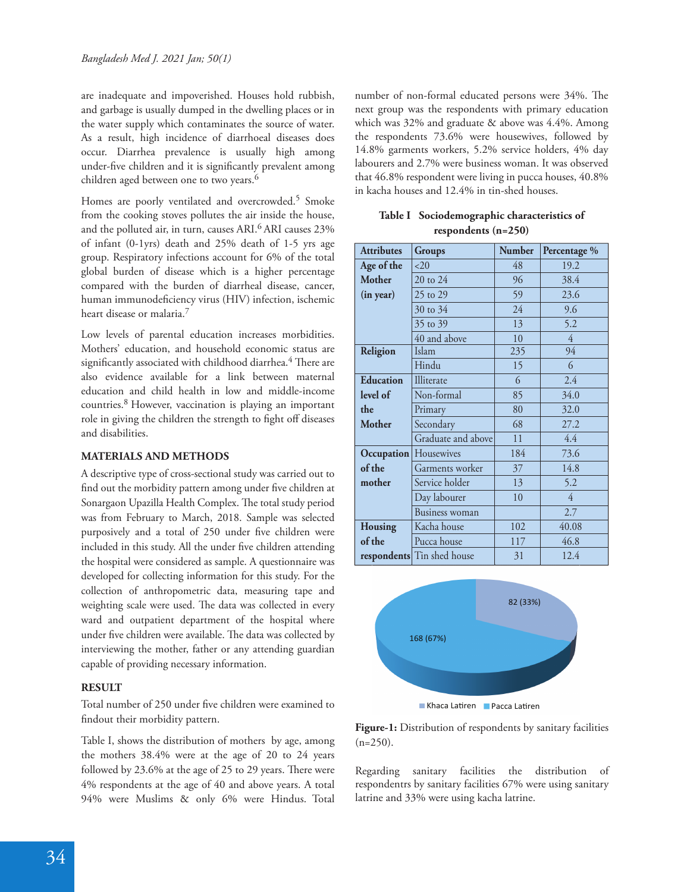are inadequate and impoverished. Houses hold rubbish, and garbage is usually dumped in the dwelling places or in the water supply which contaminates the source of water. As a result, high incidence of diarrhoeal diseases does occur. Diarrhea prevalence is usually high among under-five children and it is significantly prevalent among children aged between one to two years.<sup>6</sup>

Homes are poorly ventilated and overcrowded.<sup>5</sup> Smoke from the cooking stoves pollutes the air inside the house, and the polluted air, in turn, causes ARI.<sup>6</sup> ARI causes 23% of infant (0-1yrs) death and 25% death of 1-5 yrs age group. Respiratory infections account for 6% of the total global burden of disease which is a higher percentage compared with the burden of diarrheal disease, cancer, human immunodeficiency virus (HIV) infection, ischemic heart disease or malaria.<sup>7</sup>

Low levels of parental education increases morbidities. Mothers' education, and household economic status are significantly associated with childhood diarrhea.<sup>4</sup> There are also evidence available for a link between maternal education and child health in low and middle-income countries.8 However, vaccination is playing an important role in giving the children the strength to fight off diseases and disabilities.

### **MATERIALS AND METHODS**

A descriptive type of cross-sectional study was carried out to find out the morbidity pattern among under five children at Sonargaon Upazilla Health Complex. The total study period was from February to March, 2018. Sample was selected purposively and a total of 250 under five children were included in this study. All the under five children attending the hospital were considered as sample. A questionnaire was developed for collecting information for this study. For the collection of anthropometric data, measuring tape and weighting scale were used. The data was collected in every ward and outpatient department of the hospital where under five children were available. The data was collected by interviewing the mother, father or any attending guardian capable of providing necessary information.

### **RESULT**

Total number of 250 under five children were examined to findout their morbidity pattern.

Table I, shows the distribution of mothers by age, among the mothers 38.4% were at the age of 20 to 24 years followed by  $23.6\%$  at the age of  $25$  to  $29$  years. There were 4% respondents at the age of 40 and above years. A total 94% were Muslims & only 6% were Hindus. Total number of non-formal educated persons were 34%. The next group was the respondents with primary education which was 32% and graduate & above was 4.4%. Among the respondents 73.6% were housewives, followed by 14.8% garments workers, 5.2% service holders, 4% day labourers and 2.7% were business woman. It was observed that 46.8% respondent were living in pucca houses, 40.8% in kacha houses and 12.4% in tin-shed houses.

**Table I Sociodemographic characteristics of respondents (n=250)**

| <b>Attributes</b>         | <b>Groups</b>              | <b>Number</b> | Percentage %   |
|---------------------------|----------------------------|---------------|----------------|
| Age of the                | <20                        | 48            | 19.2           |
| <b>Mother</b>             | 20 to 24                   | 96            | 38.4           |
| (in year)                 | 25 to 29                   | 59            | 23.6           |
|                           | 30 to 34                   | 24            | 9.6            |
|                           | 35 to 39                   | 13            | 5.2            |
|                           | 40 and above               | 10            | 4              |
| Religion                  | Islam                      | 235           | 94             |
|                           | Hindu                      | 15            | 6              |
| <b>Education</b>          | Illiterate                 | 6             | 2.4            |
| level of                  | Non-formal                 | 85            | 34.0           |
| the                       | Primary                    | 80            | 32.0           |
| <b>Mother</b>             | Secondary                  | 68            | 27.2           |
|                           | Graduate and above         | 11            | 4.4            |
| Occupation                | Housewives                 | 184           | 73.6           |
| of the<br>Garments worker |                            | 37            | 14.8           |
| mother                    | Service holder             | 13            | 5.2            |
|                           | Day labourer               | 10            | $\overline{4}$ |
|                           | <b>Business</b> woman      |               | 2.7            |
| Housing                   | Kacha house                | 102           | 40.08          |
| of the                    | Pucca house                | 117           | 46.8           |
|                           | respondents Tin shed house | 31            | 12.4           |



**Figure-1:** Distribution of respondents by sanitary facilities  $(n=250)$ .

Regarding sanitary facilities the distribution of respondentrs by sanitary facilities 67% were using sanitary latrine and 33% were using kacha latrine.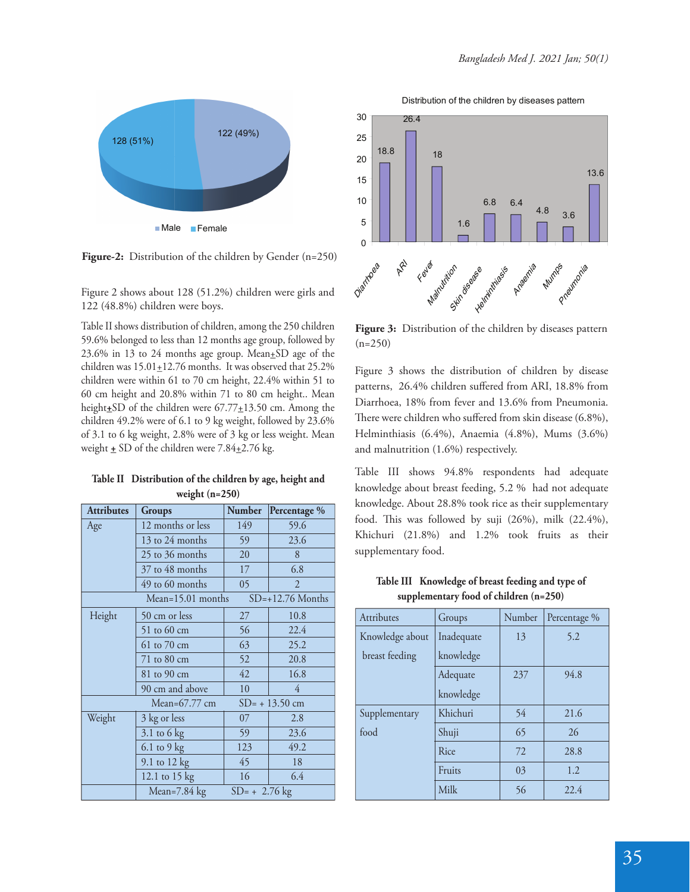

**Figure-2:** Distribution of the children by Gender (n=250)

Figure 2 shows about 128 (51.2%) children were girls and 122 (48.8%) children were boys.

Table II shows distribution of children, among the 250 children 59.6% belonged to less than 12 months age group, followed by 23.6% in 13 to 24 months age group. Mean $\pm$ SD age of the children was  $15.01 \pm 12.76$  months. It was observed that 25.2% children were within 61 to 70 cm height, 22.4% within 51 to 60 cm height and 20.8% within 71 to 80 cm height.. Mean height<sup>+</sup>SD of the children were 67.77<sup>+13.50</sup> cm. Among the children 49.2% were of 6.1 to 9 kg weight, followed by 23.6% of 3.1 to 6 kg weight, 2.8% were of 3 kg or less weight. Mean weight  $\pm$  SD of the children were 7.84 $\pm$ 2.76 kg.

| <b>Attributes</b>                         | Groups            | <b>Number</b>   | Percentage <sup>%</sup> |  |
|-------------------------------------------|-------------------|-----------------|-------------------------|--|
| Age                                       | 12 months or less | 149             | 59.6                    |  |
|                                           | 13 to 24 months   | 59              | 23.6                    |  |
|                                           | 25 to 36 months   | 20              | 8                       |  |
|                                           | 37 to 48 months   | 17              | 6.8                     |  |
|                                           | 49 to 60 months   | 05              | $\overline{2}$          |  |
| $SD=+12.76$ Months<br>$Mean=15.01$ months |                   |                 |                         |  |
| Height                                    | 50 cm or less     | 27              | 10.8                    |  |
|                                           | 51 to 60 cm       | 56              | 22.4                    |  |
|                                           | 61 to 70 cm       | 63              | 25.2                    |  |
|                                           | 71 to 80 cm       | 52              | 20.8                    |  |
|                                           | 81 to 90 cm       | 42              | 16.8                    |  |
|                                           | 90 cm and above   | 10              | 4                       |  |
| Mean= $67.77$ cm<br>$SD = +13.50$ cm      |                   |                 |                         |  |
| Weight                                    | 3 kg or less      | 07              | 2.8                     |  |
|                                           | $3.1$ to 6 kg     | 59              | 23.6                    |  |
|                                           | $6.1$ to $9$ kg   | 123             | 49.2                    |  |
|                                           | 9.1 to 12 kg      | 45              | 18                      |  |
|                                           | 12.1 to 15 kg     | 16              | 6.4                     |  |
|                                           | Mean= $7.84$ kg   | $SD = +2.76$ kg |                         |  |

**Table II Distribution of the children by age, height and weight (n=250)**

Distribution of the children by diseases pattern



**Figure 3:** Distribution of the children by diseases pattern  $(n=250)$ 

Figure 3 shows the distribution of children by disease patterns, 26.4% children suffered from ARI, 18.8% from Diarrhoea, 18% from fever and 13.6% from Pneumonia. There were children who suffered from skin disease (6.8%), Helminthiasis (6.4%), Anaemia (4.8%), Mums (3.6%) and malnutrition (1.6%) respectively.

Table III shows 94.8% respondents had adequate knowledge about breast feeding, 5.2 % had not adequate knowledge. About 28.8% took rice as their supplementary food. This was followed by suji  $(26\%)$ , milk  $(22.4\%)$ , Khichuri (21.8%) and 1.2% took fruits as their supplementary food.

| Attributes      | Groups     | Number | Percentage % |
|-----------------|------------|--------|--------------|
| Knowledge about | Inadequate | 13     | 5.2          |
| breast feeding  | knowledge  |        |              |
|                 | Adequate   | 237    | 94.8         |
|                 | knowledge  |        |              |
| Supplementary   | Khichuri   | 54     | 21.6         |
| food            | Shuji      | 65     | 26           |
|                 | Rice       | 72     | 28.8         |
|                 | Fruits     | 03     | 1.2          |
|                 | Milk       | 56     | 22.4         |

**Table III Knowledge of breast feeding and type of supplementary food of children (n=250)**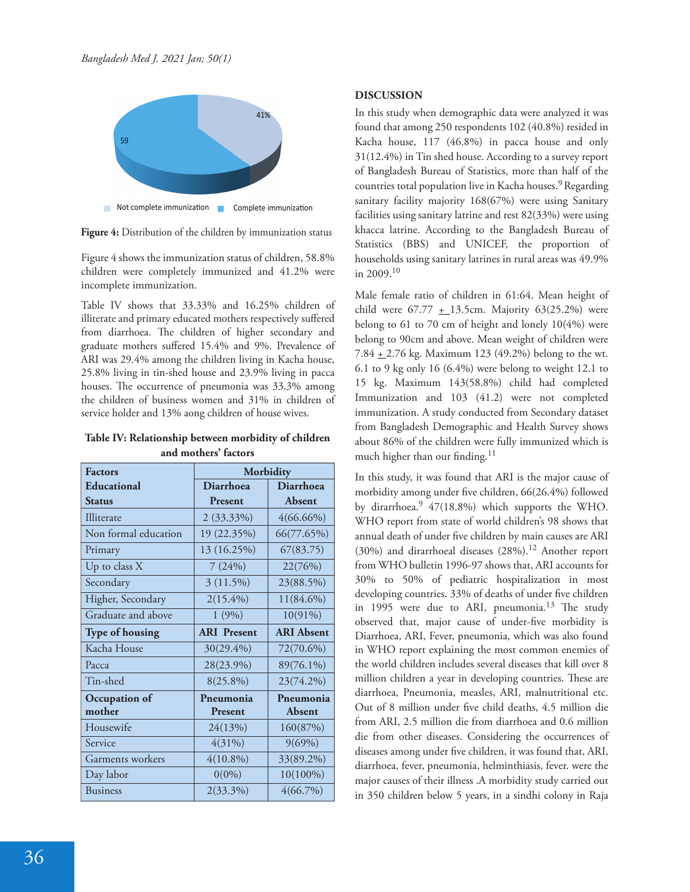

**Figure 4:** Distribution of the children by immunization status

Figure 4 shows the immunization status of children, 58.8% children were completely immunized and 41.2% were incomplete immunization.

Table IV shows that 33.33% and 16.25% children of illiterate and primary educated mothers respectively suffered from diarrhoea. The children of higher secondary and graduate mothers suffered 15.4% and 9%. Prevalence of ARI was 29.4% among the children living in Kacha house, 25.8% living in tin-shed house and 23.9% living in pacca houses. The occurrence of pneumonia was 33.3% among the children of business women and 31% in children of service holder and 13% aong children of house wives.

**Table IV: Relationship between morbidity of children and mothers' factors**

| <b>Factors</b>         | Morbidity          |                   |  |
|------------------------|--------------------|-------------------|--|
| <b>Educational</b>     | <b>Diarrhoea</b>   | <b>Diarrhoea</b>  |  |
| <b>Status</b>          | Present            | Absent            |  |
| Illiterate             | 2 (33.33%)         | $4(66.66\%)$      |  |
| Non formal education   | 19 (22.35%)        | 66(77.65%)        |  |
| Primary                | 13 (16.25%)        | 67(83.75)         |  |
| Up to class $X$        | 7(24%)             | 22(76%)           |  |
| Secondary              | 3(11.5%)           | 23(88.5%)         |  |
| Higher, Secondary      | $2(15.4\%)$        | 11(84.6%)         |  |
| Graduate and above     | 1(9%)              | 10(91%)           |  |
| <b>Type of housing</b> | <b>ARI</b> Present | <b>ARI</b> Absent |  |
| Kacha House            | 30(29.4%)          | 72(70.6%)         |  |
| Pacca                  | 28(23.9%)          | 89(76.1%)         |  |
| Tin-shed               | $8(25.8\%)$        | 23(74.2%)         |  |
| Occupation of          | Pneumonia          | Pneumonia         |  |
| mother                 | <b>Present</b>     | Absent            |  |
| Housewife              | 24(13%)            | 160(87%)          |  |
| Service                | 4(31%)             | 9(69%)            |  |
| Garments workers       | $4(10.8\%)$        | 33(89.2%)         |  |
| Day labor              | $0(0\%)$           | 10(100%)          |  |
| <b>Business</b>        | 2(33.3%)           | $4(66.7\%)$       |  |

# **DISCUSSION**

In this study when demographic data were analyzed it was found that among 250 respondents 102 (40.8%) resided in Kacha house, 117 (46.8%) in pacca house and only 31(12.4%) in Tin shed house. According to a survey report of Bangladesh Bureau of Statistics, more than half of the countries total population live in Kacha houses.9 Regarding sanitary facility majority 168(67%) were using Sanitary facilities using sanitary latrine and rest 82(33%) were using khacca latrine. According to the Bangladesh Bureau of Statistics (BBS) and UNICEF, the proportion of households using sanitary latrines in rural areas was 49.9% in 2009.<sup>10</sup>

Male female ratio of children in 61:64. Mean height of child were  $67.77 \pm 13.5$ cm. Majority  $63(25.2\%)$  were belong to 61 to 70 cm of height and lonely 10(4%) were belong to 90cm and above. Mean weight of children were 7.84  $\pm$  2.76 kg. Maximum 123 (49.2%) belong to the wt. 6.1 to 9 kg only 16 (6.4%) were belong to weight 12.1 to 15 kg. Maximum 143(58.8%) child had completed Immunization and 103 (41.2) were not completed immunization. A study conducted from Secondary dataset from Bangladesh Demographic and Health Survey shows about 86% of the children were fully immunized which is much higher than our finding.<sup>11</sup>

In this study, it was found that ARI is the major cause of morbidity among under five children, 66(26.4%) followed by dirarrhoea.<sup>9</sup> 47(18.8%) which supports the WHO. WHO report from state of world children's 98 shows that annual death of under five children by main causes are ARI (30%) and dirarrhoeal diseases (28%).<sup>12</sup> Another report from WHO bulletin 1996-97 shows that, ARI accounts for 30% to 50% of pediatric hospitalization in most developing countries. 33% of deaths of under five children in 1995 were due to ARI, pneumonia.<sup>13</sup> The study observed that, major cause of under-five morbidity is Diarrhoea, ARI, Fever, pneumonia, which was also found in WHO report explaining the most common enemies of the world children includes several diseases that kill over 8 million children a year in developing countries. These are diarrhoea, Pneumonia, measles, ARI, malnutritional etc. Out of 8 million under five child deaths, 4.5 million die from ARI, 2.5 million die from diarrhoea and 0.6 million die from other diseases. Considering the occurrences of diseases among under five children, it was found that, ARI, diarrhoea, fever, pneumonia, helminthiasis, fever. were the major causes of their illness .A morbidity study carried out in 350 children below 5 years, in a sindhi colony in Raja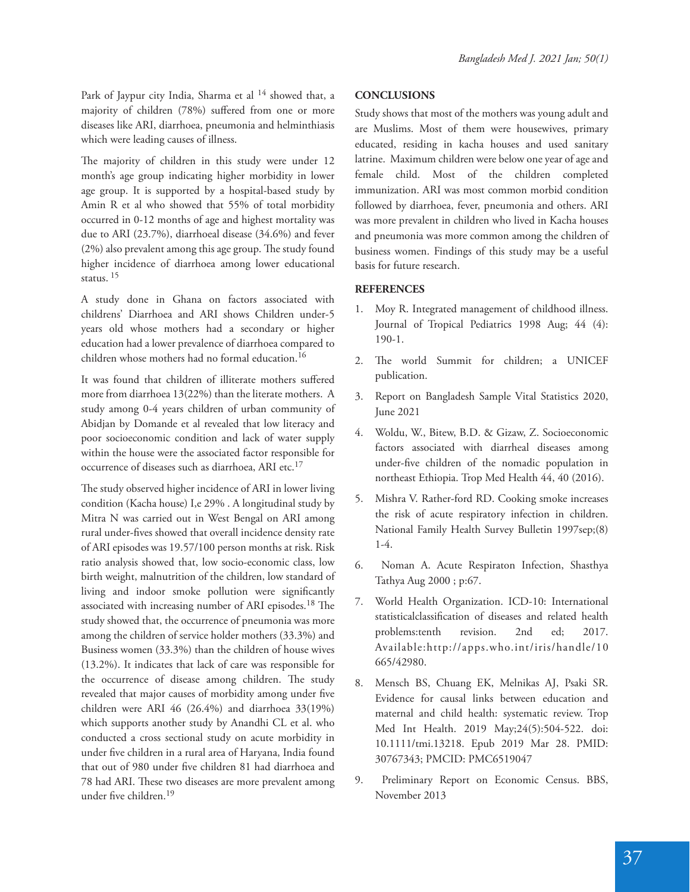Park of Jaypur city India, Sharma et al <sup>14</sup> showed that, a majority of children (78%) suffered from one or more diseases like ARI, diarrhoea, pneumonia and helminthiasis which were leading causes of illness.

The majority of children in this study were under 12 month's age group indicating higher morbidity in lower age group. It is supported by a hospital-based study by Amin R et al who showed that 55% of total morbidity occurred in 0-12 months of age and highest mortality was due to ARI (23.7%), diarrhoeal disease (34.6%) and fever  $(2%)$  also prevalent among this age group. The study found higher incidence of diarrhoea among lower educational status.<sup>15</sup>

A study done in Ghana on factors associated with childrens' Diarrhoea and ARI shows Children under-5 years old whose mothers had a secondary or higher education had a lower prevalence of diarrhoea compared to children whose mothers had no formal education.<sup>16</sup>

It was found that children of illiterate mothers suffered more from diarrhoea 13(22%) than the literate mothers. A study among 0-4 years children of urban community of Abidjan by Domande et al revealed that low literacy and poor socioeconomic condition and lack of water supply within the house were the associated factor responsible for occurrence of diseases such as diarrhoea, ARI etc.<sup>17</sup>

The study observed higher incidence of ARI in lower living condition (Kacha house) I,e 29% . A longitudinal study by Mitra N was carried out in West Bengal on ARI among rural under-fives showed that overall incidence density rate of ARI episodes was 19.57/100 person months at risk. Risk ratio analysis showed that, low socio-economic class, low birth weight, malnutrition of the children, low standard of living and indoor smoke pollution were significantly associated with increasing number of ARI episodes.<sup>18</sup> The study showed that, the occurrence of pneumonia was more among the children of service holder mothers (33.3%) and Business women (33.3%) than the children of house wives (13.2%). It indicates that lack of care was responsible for the occurrence of disease among children. The study revealed that major causes of morbidity among under five children were ARI 46 (26.4%) and diarrhoea 33(19%) which supports another study by Anandhi CL et al. who conducted a cross sectional study on acute morbidity in under five children in a rural area of Haryana, India found that out of 980 under five children 81 had diarrhoea and 78 had ARI. These two diseases are more prevalent among under five children.<sup>19</sup>

# **CONCLUSIONS**

Study shows that most of the mothers was young adult and are Muslims. Most of them were housewives, primary educated, residing in kacha houses and used sanitary latrine. Maximum children were below one year of age and female child. Most of the children completed immunization. ARI was most common morbid condition followed by diarrhoea, fever, pneumonia and others. ARI was more prevalent in children who lived in Kacha houses and pneumonia was more common among the children of business women. Findings of this study may be a useful basis for future research.

### **REFERENCES**

- 1. Moy R. Integrated management of childhood illness. Journal of Tropical Pediatrics 1998 Aug; 44 (4): 190-1.
- 2. The world Summit for children; a UNICEF publication.
- 3. Report on Bangladesh Sample Vital Statistics 2020, June 2021
- 4. Woldu, W., Bitew, B.D. & Gizaw, Z. Socioeconomic factors associated with diarrheal diseases among under-five children of the nomadic population in northeast Ethiopia. Trop Med Health 44, 40 (2016).
- 5. Mishra V. Rather-ford RD. Cooking smoke increases the risk of acute respiratory infection in children. National Family Health Survey Bulletin 1997sep;(8) 1-4.
- 6. Noman A. Acute Respiraton Infection, Shasthya Tathya Aug 2000 ; p:67.
- 7. World Health Organization. ICD-10: International statisticalclassification of diseases and related health problems:tenth revision. 2nd ed; 2017. Available:http://apps.who.int/iris/handle/10 665/42980.
- 8. Mensch BS, Chuang EK, Melnikas AJ, Psaki SR. Evidence for causal links between education and maternal and child health: systematic review. Trop Med Int Health. 2019 May;24(5):504-522. doi: 10.1111/tmi.13218. Epub 2019 Mar 28. PMID: 30767343; PMCID: PMC6519047
- 9. Preliminary Report on Economic Census. BBS, November 2013